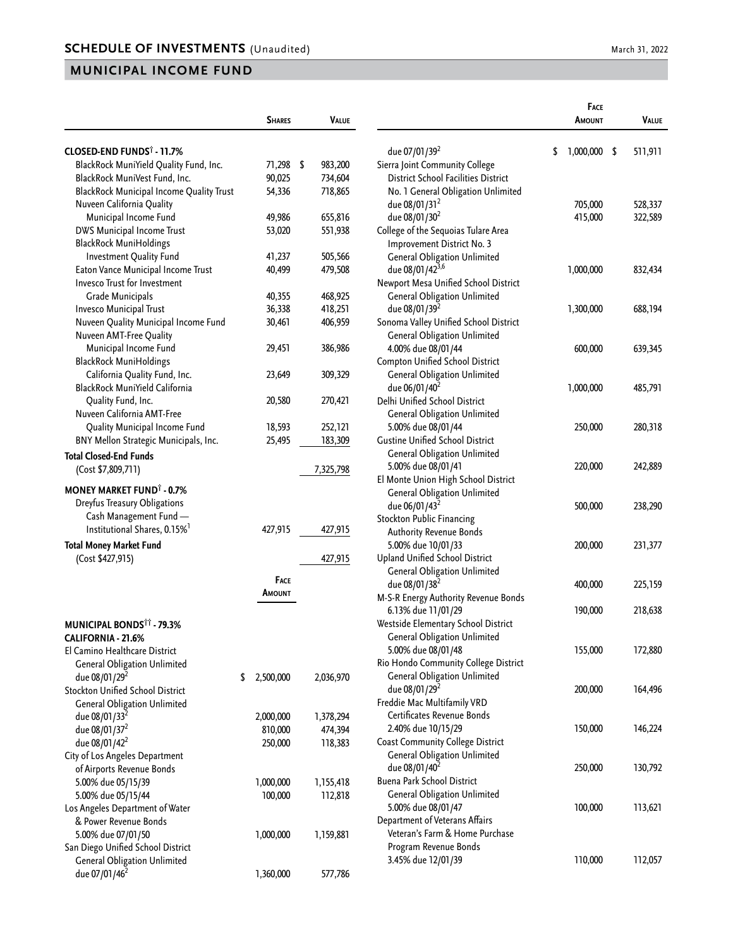|                                                 | <b>SHARES</b>   | <b>VALUE</b>  |
|-------------------------------------------------|-----------------|---------------|
| CLOSED-END FUNDS <sup>†</sup> - 11.7%           |                 |               |
| BlackRock MuniYield Quality Fund, Inc.          | 71,298          | \$<br>983,200 |
|                                                 |                 |               |
| BlackRock MuniVest Fund, Inc.                   | 90,025          | 734,604       |
| <b>BlackRock Municipal Income Quality Trust</b> | 54,336          | 718,865       |
| Nuveen California Quality                       |                 |               |
| Municipal Income Fund                           | 49,986          | 655,816       |
| DWS Municipal Income Trust                      | 53,020          | 551,938       |
| <b>BlackRock MuniHoldings</b>                   |                 |               |
| Investment Quality Fund                         | 41,237          | 505,566       |
| Eaton Vance Municipal Income Trust              | 40,499          | 479,508       |
| <b>Invesco Trust for Investment</b>             |                 |               |
| Grade Municipals                                | 40,355          | 468,925       |
| Invesco Municipal Trust                         | 36,338          | 418,251       |
| Nuveen Quality Municipal Income Fund            | 30,461          | 406,959       |
| Nuveen AMT-Free Quality                         |                 |               |
| Municipal Income Fund                           | 29,451          | 386,986       |
| <b>BlackRock MuniHoldings</b>                   |                 |               |
| California Quality Fund, Inc.                   | 23,649          | 309,329       |
| BlackRock MuniYield California                  |                 |               |
| Quality Fund, Inc.                              | 20,580          | 270,421       |
| Nuveen California AMT-Free                      |                 |               |
| Quality Municipal Income Fund                   | 18,593          | 252,121       |
| BNY Mellon Strategic Municipals, Inc.           | 25,495          | 183,309       |
| <b>Total Closed-End Funds</b>                   |                 |               |
| (Cost \$7,809,711)                              |                 | 7,325,798     |
| <b>MONEY MARKET FUND<sup>1</sup> - 0.7%</b>     |                 |               |
| Dreyfus Treasury Obligations                    |                 |               |
| Cash Management Fund-                           |                 |               |
| Institutional Shares, 0.15% <sup>1</sup>        | 427,915         | 427,915       |
|                                                 |                 |               |
| <b>Total Money Market Fund</b>                  |                 |               |
| (Cost \$427,915)                                |                 | 427,915       |
|                                                 | FACE            |               |
|                                                 | Amount          |               |
|                                                 |                 |               |
| <b>MUNICIPAL BONDS<sup>11</sup> - 79.3%</b>     |                 |               |
| CALIFORNIA - 21.6%                              |                 |               |
| El Camino Healthcare District                   |                 |               |
| <b>General Obligation Unlimited</b>             |                 |               |
| due 08/01/29 <sup>2</sup>                       | \$<br>2,500,000 | 2,036,970     |
| Stockton Unified School District                |                 |               |
| <b>General Obligation Unlimited</b>             |                 |               |
| due 08/01/33 <sup>2</sup>                       | 2,000,000       | 1,378,294     |
| due 08/01/37 <sup>2</sup>                       | 810,000         | 474,394       |
| due 08/01/42 <sup>2</sup>                       | 250,000         | 118,383       |
| City of Los Angeles Department                  |                 |               |
|                                                 |                 |               |
| of Airports Revenue Bonds                       |                 |               |
| 5.00% due 05/15/39                              | 1,000,000       | 1,155,418     |
| 5.00% due 05/15/44                              | 100,000         | 112,818       |
| Los Angeles Department of Water                 |                 |               |
| & Power Revenue Bonds                           |                 |               |
| 5.00% due 07/01/50                              | 1,000,000       | 1,159,881     |
| San Diego Unified School District               |                 |               |
| <b>General Obligation Unlimited</b>             |                 |               |

due 07/01/46<sup>2</sup> 1,360,000 577,786

|                                                                                                                                                  | <b>FACE</b><br>Amount | VALUE              |
|--------------------------------------------------------------------------------------------------------------------------------------------------|-----------------------|--------------------|
| due 07/01/39 <sup>2</sup><br>Sierra Joint Community College<br>District School Facilities District                                               | \$<br>1,000,000       | \$<br>511,911      |
| No. 1 General Obligation Unlimited<br>due 08/01/31 <sup>2</sup><br>due 08/01/30 <sup>2</sup><br>College of the Sequoias Tulare Area              | 705,000<br>415,000    | 528,337<br>322,589 |
| Improvement District No. 3<br><b>General Obligation Unlimited</b><br>due 08/01/423,6<br>Newport Mesa Unified School District                     | 1,000,000             | 832,434            |
| <b>General Obligation Unlimited</b><br>due 08/01/39 <sup>2</sup><br>Sonoma Valley Unified School District<br><b>General Obligation Unlimited</b> | 1,300,000             | 688,194            |
| 4.00% due 08/01/44<br>Compton Unified School District                                                                                            | 600,000               | 639,345            |
| <b>General Obligation Unlimited</b><br>due 06/01/40 <sup>2</sup><br>Delhi Unified School District                                                | 1,000,000             | 485,791            |
| <b>General Obligation Unlimited</b><br>5.00% due 08/01/44<br><b>Gustine Unified School District</b>                                              | 250,000               | 280,318            |
| <b>General Obligation Unlimited</b><br>5.00% due 08/01/41<br>El Monte Union High School District                                                 | 220,000               | 242,889            |
| <b>General Obligation Unlimited</b><br>due 06/01/43 <sup>2</sup><br><b>Stockton Public Financing</b>                                             | 500,000               | 238,290            |
| <b>Authority Revenue Bonds</b><br>5.00% due 10/01/33<br><b>Upland Unified School District</b>                                                    | 200,000               | 231,377            |
| <b>General Obligation Unlimited</b><br>due 08/01/38 <sup>2</sup><br>M-S-R Energy Authority Revenue Bonds                                         | 400,000               | 225,159            |
| 6.13% due 11/01/29<br>Westside Elementary School District<br><b>General Obligation Unlimited</b>                                                 | 190,000               | 218,638            |
| 5.00% due 08/01/48<br>Rio Hondo Community College District<br><b>General Obligation Unlimited</b>                                                | 155,000               | 172,880            |
| due 08/01/29 <sup>2</sup><br>Freddie Mac Multifamily VRD<br>Certificates Revenue Bonds                                                           | 200,000               | 164,496            |
| 2.40% due 10/15/29<br>Coast Community College District                                                                                           | 150,000               | 146,224            |
| <b>General Obligation Unlimited</b><br>due 08/01/40 <sup>2</sup><br><b>Buena Park School District</b>                                            | 250,000               | 130,792            |
| <b>General Obligation Unlimited</b><br>5.00% due 08/01/47<br>Department of Veterans Affairs<br>Veteran's Farm & Home Purchase                    | 100,000               | 113,621            |
| Program Revenue Bonds<br>3.45% due 12/01/39                                                                                                      | 110,000               | 112,057            |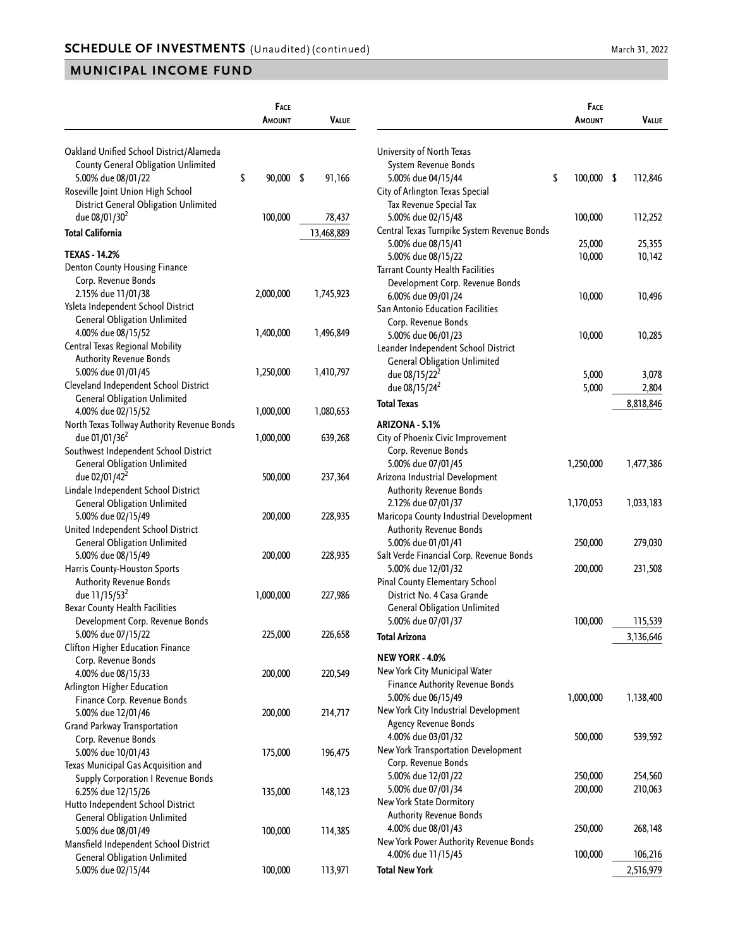|                                             | FACE            |              |                                             | FACE               |           |
|---------------------------------------------|-----------------|--------------|---------------------------------------------|--------------------|-----------|
|                                             | <b>AMOUNT</b>   | <b>VALUE</b> |                                             | <b>AMOUNT</b>      | VALUE     |
| Oakland Unified School District/Alameda     |                 |              | University of North Texas                   |                    |           |
| County General Obligation Unlimited         |                 |              | System Revenue Bonds                        |                    |           |
| 5.00% due 08/01/22                          | \$<br>90,000 \$ | 91,166       | 5.00% due 04/15/44                          | \$<br>$100,000$ \$ | 112,846   |
| Roseville Joint Union High School           |                 |              | City of Arlington Texas Special             |                    |           |
| District General Obligation Unlimited       |                 |              | Tax Revenue Special Tax                     |                    |           |
| due 08/01/30 <sup>2</sup>                   | 100,000         | 78,437       | 5.00% due 02/15/48                          | 100,000            | 112,252   |
| <b>Total California</b>                     |                 | 13,468,889   | Central Texas Turnpike System Revenue Bonds |                    |           |
| <b>TEXAS - 14.2%</b>                        |                 |              | 5.00% due 08/15/41                          | 25,000             | 25,355    |
|                                             |                 |              | 5.00% due 08/15/22                          | 10,000             | 10,142    |
| Denton County Housing Finance               |                 |              | Tarrant County Health Facilities            |                    |           |
| Corp. Revenue Bonds                         |                 |              | Development Corp. Revenue Bonds             |                    |           |
| 2.15% due 11/01/38                          | 2,000,000       | 1,745,923    | 6.00% due 09/01/24                          | 10,000             | 10,496    |
| Ysleta Independent School District          |                 |              | San Antonio Education Facilities            |                    |           |
| <b>General Obligation Unlimited</b>         |                 |              | Corp. Revenue Bonds                         |                    |           |
| 4.00% due 08/15/52                          | 1,400,000       | 1,496,849    | 5.00% due 06/01/23                          | 10,000             | 10,285    |
| Central Texas Regional Mobility             |                 |              | Leander Independent School District         |                    |           |
| <b>Authority Revenue Bonds</b>              |                 |              | <b>General Obligation Unlimited</b>         |                    |           |
| 5.00% due 01/01/45                          | 1,250,000       | 1,410,797    | due 08/15/22 <sup>2</sup>                   | 5,000              | 3,078     |
| Cleveland Independent School District       |                 |              | due 08/15/24 <sup>2</sup>                   | 5,000              | 2,804     |
| <b>General Obligation Unlimited</b>         |                 |              | <b>Total Texas</b>                          |                    | 8,818,846 |
| 4.00% due 02/15/52                          | 1,000,000       | 1,080,653    |                                             |                    |           |
| North Texas Tollway Authority Revenue Bonds |                 |              | ARIZONA - 5.1%                              |                    |           |
| due 01/01/36 <sup>2</sup>                   | 1,000,000       | 639,268      | City of Phoenix Civic Improvement           |                    |           |
| Southwest Independent School District       |                 |              | Corp. Revenue Bonds                         |                    |           |
| <b>General Obligation Unlimited</b>         |                 |              | 5.00% due 07/01/45                          | 1,250,000          | 1,477,386 |
| due 02/01/42 <sup>2</sup>                   | 500,000         | 237,364      | Arizona Industrial Development              |                    |           |
| Lindale Independent School District         |                 |              | <b>Authority Revenue Bonds</b>              |                    |           |
| <b>General Obligation Unlimited</b>         |                 |              | 2.12% due 07/01/37                          | 1,170,053          | 1,033,183 |
| 5.00% due 02/15/49                          | 200,000         | 228,935      | Maricopa County Industrial Development      |                    |           |
| United Independent School District          |                 |              | <b>Authority Revenue Bonds</b>              |                    |           |
| <b>General Obligation Unlimited</b>         |                 |              | 5.00% due 01/01/41                          | 250,000            | 279,030   |
| 5.00% due 08/15/49                          | 200,000         | 228,935      | Salt Verde Financial Corp. Revenue Bonds    |                    |           |
| Harris County-Houston Sports                |                 |              | 5.00% due 12/01/32                          | 200,000            | 231,508   |
| <b>Authority Revenue Bonds</b>              |                 |              | Pinal County Elementary School              |                    |           |
| due 11/15/53 <sup>2</sup>                   | 1,000,000       | 227,986      | District No. 4 Casa Grande                  |                    |           |
| Bexar County Health Facilities              |                 |              | <b>General Obligation Unlimited</b>         |                    |           |
| Development Corp. Revenue Bonds             |                 |              | 5.00% due 07/01/37                          | 100,000            | 115,539   |
| 5.00% due 07/15/22                          | 225,000         | 226,658      | <b>Total Arizona</b>                        |                    | 3,136,646 |
| Clifton Higher Education Finance            |                 |              |                                             |                    |           |
| Corp. Revenue Bonds                         |                 |              | NEW YORK - 4.0%                             |                    |           |
| 4.00% due 08/15/33                          | 200,000         | 220,549      | New York City Municipal Water               |                    |           |
| Arlington Higher Education                  |                 |              | Finance Authority Revenue Bonds             |                    |           |
| Finance Corp. Revenue Bonds                 |                 |              | 5.00% due 06/15/49                          | 1,000,000          | 1,138,400 |
| 5.00% due 12/01/46                          | 200,000         | 214,717      | New York City Industrial Development        |                    |           |
| Grand Parkway Transportation                |                 |              | Agency Revenue Bonds                        |                    |           |
| Corp. Revenue Bonds                         |                 |              | 4.00% due 03/01/32                          | 500,000            | 539,592   |
| 5.00% due 10/01/43                          | 175,000         | 196,475      | New York Transportation Development         |                    |           |
| Texas Municipal Gas Acquisition and         |                 |              | Corp. Revenue Bonds                         |                    |           |
| <b>Supply Corporation I Revenue Bonds</b>   |                 |              | 5.00% due 12/01/22                          | 250,000            | 254,560   |
| 6.25% due 12/15/26                          | 135,000         | 148,123      | 5.00% due 07/01/34                          | 200,000            | 210,063   |
| Hutto Independent School District           |                 |              | New York State Dormitory                    |                    |           |
| <b>General Obligation Unlimited</b>         |                 |              | <b>Authority Revenue Bonds</b>              |                    |           |
| 5.00% due 08/01/49                          | 100,000         | 114,385      | 4.00% due 08/01/43                          | 250,000            | 268,148   |
| Mansfield Independent School District       |                 |              | New York Power Authority Revenue Bonds      |                    |           |
| <b>General Obligation Unlimited</b>         |                 |              | 4.00% due 11/15/45                          | 100,000            | 106,216   |
| 5.00% due 02/15/44                          | 100,000         | 113,971      | <b>Total New York</b>                       |                    | 2,516,979 |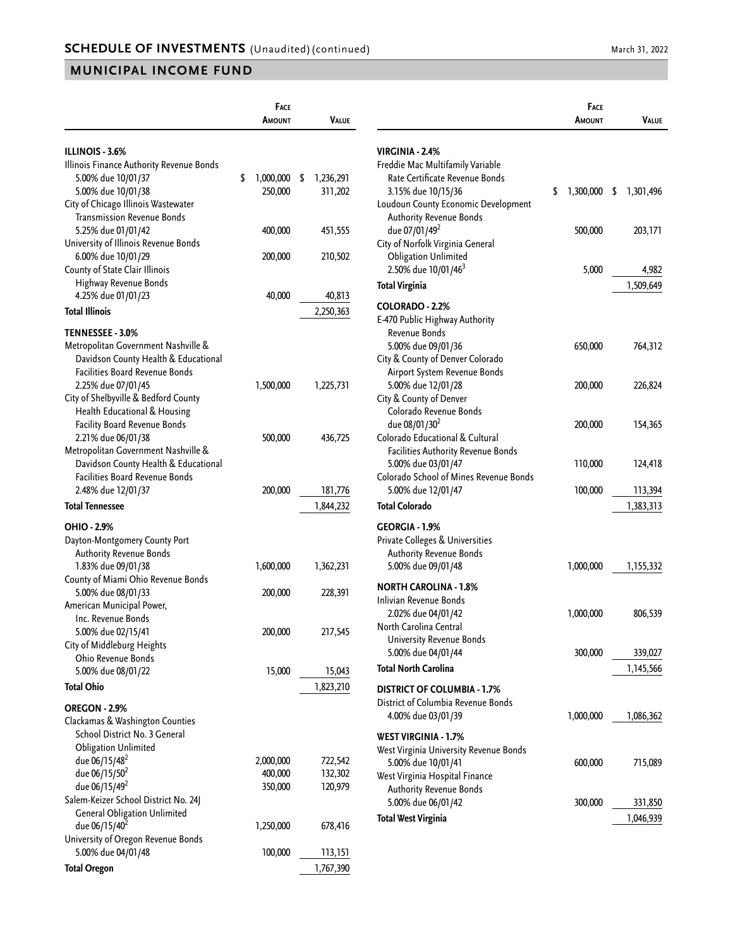|                                                                   | Face<br>Amount  | Value           |
|-------------------------------------------------------------------|-----------------|-----------------|
|                                                                   |                 |                 |
| ILLINOIS - 3.6%<br>Illinois Finance Authority Revenue Bonds       |                 |                 |
| 5.00% due 10/01/37                                                | \$<br>1,000,000 | \$<br>1,236,291 |
| 5.00% due 10/01/38                                                | 250,000         | 311,202         |
| City of Chicago Illinois Wastewater                               |                 |                 |
| <b>Transmission Revenue Bonds</b>                                 |                 |                 |
| 5.25% due 01/01/42                                                | 400,000         | 451,555         |
| University of Illinois Revenue Bonds                              |                 |                 |
| 6.00% due 10/01/29                                                | 200,000         | 210,502         |
| County of State Clair Illinois                                    |                 |                 |
| Highway Revenue Bonds                                             |                 |                 |
| 4.25% due 01/01/23                                                | 40,000          | 40,813          |
| <b>Total Illinois</b>                                             |                 | 2,250,363       |
| TENNESSEE - 3.0%                                                  |                 |                 |
| Metropolitan Government Nashville &                               |                 |                 |
| Davidson County Health & Educational                              |                 |                 |
| <b>Facilities Board Revenue Bonds</b>                             |                 |                 |
| 2.25% due 07/01/45                                                | 1,500,000       | 1,225,731       |
| City of Shelbyville & Bedford County                              |                 |                 |
| Health Educational & Housing                                      |                 |                 |
| <b>Facility Board Revenue Bonds</b><br>2.21% due 06/01/38         | 500,000         | 436,725         |
| Metropolitan Government Nashville &                               |                 |                 |
| Davidson County Health & Educational                              |                 |                 |
| <b>Facilities Board Revenue Bonds</b>                             |                 |                 |
| 2.48% due 12/01/37                                                | 200,000         | 181,776         |
| <b>Total Tennessee</b>                                            |                 | 1,844,232       |
| <b>OHIO - 2.9%</b>                                                |                 |                 |
| Dayton-Montgomery County Port                                     |                 |                 |
| <b>Authority Revenue Bonds</b>                                    |                 |                 |
| 1.83% due 09/01/38                                                | 1,600,000       | 1,362,231       |
| County of Miami Ohio Revenue Bonds                                |                 |                 |
| 5.00% due 08/01/33                                                | 200,000         | 228,391         |
| American Municipal Power,<br>Inc. Revenue Bonds                   |                 |                 |
| 5.00% due 02/15/41                                                | 200,000         | 217,545         |
| City of Middleburg Heights                                        |                 |                 |
| Ohio Revenue Bonds                                                |                 |                 |
| 5.00% due 08/01/22                                                | 15,000          | 15,043          |
| <b>Total Ohio</b>                                                 |                 | 1,823,210       |
| OREGON - 2.9%                                                     |                 |                 |
| Clackamas & Washington Counties                                   |                 |                 |
| School District No. 3 General                                     |                 |                 |
| <b>Obligation Unlimited</b>                                       |                 |                 |
| due 06/15/48 <sup>2</sup>                                         | 2,000,000       | 722,542         |
| due 06/15/50 <sup>2</sup>                                         | 400,000         | 132,302         |
| due 06/15/49 <sup>2</sup><br>Salem-Keizer School District No. 24J | 350,000         | 120,979         |
| <b>General Obligation Unlimited</b>                               |                 |                 |
| due 06/15/40 <sup>2</sup>                                         | 1,250,000       | 678,416         |
| University of Oregon Revenue Bonds                                |                 |                 |
| 5.00% due 04/01/48                                                | 100,000         | 113,151         |
| <b>Total Oregon</b>                                               |                 | 1,767,390       |

|                                                                 | <b>FACE</b><br>Amount | Value     |
|-----------------------------------------------------------------|-----------------------|-----------|
| VIRGINIA - 2.4%                                                 |                       |           |
| Freddie Mac Multifamily Variable                                |                       |           |
| Rate Certificate Revenue Bonds                                  |                       |           |
| 3.15% due 10/15/36                                              | \$<br>$1,300,000$ \$  | 1,301,496 |
| Loudoun County Economic Development                             |                       |           |
| <b>Authority Revenue Bonds</b>                                  |                       |           |
| due 07/01/49 <sup>2</sup>                                       | 500,000               | 203,171   |
| City of Norfolk Virginia General<br><b>Obligation Unlimited</b> |                       |           |
| 2.50% due 10/01/46 <sup>3</sup>                                 | 5,000                 | 4,982     |
| <b>Total Virginia</b>                                           |                       | 1,509,649 |
|                                                                 |                       |           |
| <b>COLORADO - 2.2%</b>                                          |                       |           |
| E-470 Public Highway Authority<br>Revenue Bonds                 |                       |           |
| 5.00% due 09/01/36                                              | 650,000               | 764,312   |
| City & County of Denver Colorado                                |                       |           |
| Airport System Revenue Bonds                                    |                       |           |
| 5.00% due 12/01/28                                              | 200,000               | 226,824   |
| City & County of Denver                                         |                       |           |
| Colorado Revenue Bonds                                          |                       |           |
| due 08/01/30 <sup>2</sup>                                       | 200,000               | 154,365   |
| Colorado Educational & Cultural                                 |                       |           |
| Facilities Authority Revenue Bonds<br>5.00% due 03/01/47        | 110,000               | 124,418   |
| Colorado School of Mines Revenue Bonds                          |                       |           |
| 5.00% due 12/01/47                                              | 100,000               | 113,394   |
| <b>Total Colorado</b>                                           |                       | 1,383,313 |
| <b>GEORGIA - 1.9%</b>                                           |                       |           |
| Private Colleges & Universities                                 |                       |           |
| <b>Authority Revenue Bonds</b>                                  |                       |           |
| 5.00% due 09/01/48                                              | 1,000,000             | 1,155,332 |
| NORTH CAROLINA - 1.8%                                           |                       |           |
| Inlivian Revenue Bonds                                          |                       |           |
| 2.02% due 04/01/42                                              | 1,000,000             | 806,539   |
| North Carolina Central                                          |                       |           |
| <b>University Revenue Bonds</b>                                 |                       |           |
| 5.00% due 04/01/44                                              | 300,000               | 339,027   |
| <b>Total North Carolina</b>                                     |                       | 1,145,566 |
| DISTRICT OF COLUMBIA - 1.7%                                     |                       |           |
| District of Columbia Revenue Bonds                              |                       |           |
| 4.00% due 03/01/39                                              | 1,000,000             | 1,086,362 |
| <b>WEST VIRGINIA - 1.7%</b>                                     |                       |           |
| West Virginia University Revenue Bonds                          |                       |           |
| 5.00% due 10/01/41                                              | 600,000               | 715,089   |
| West Virginia Hospital Finance                                  |                       |           |
| <b>Authority Revenue Bonds</b>                                  |                       |           |
| 5.00% due 06/01/42                                              | 300,000               | 331,850   |
| <b>Total West Virginia</b>                                      |                       | 1,046,939 |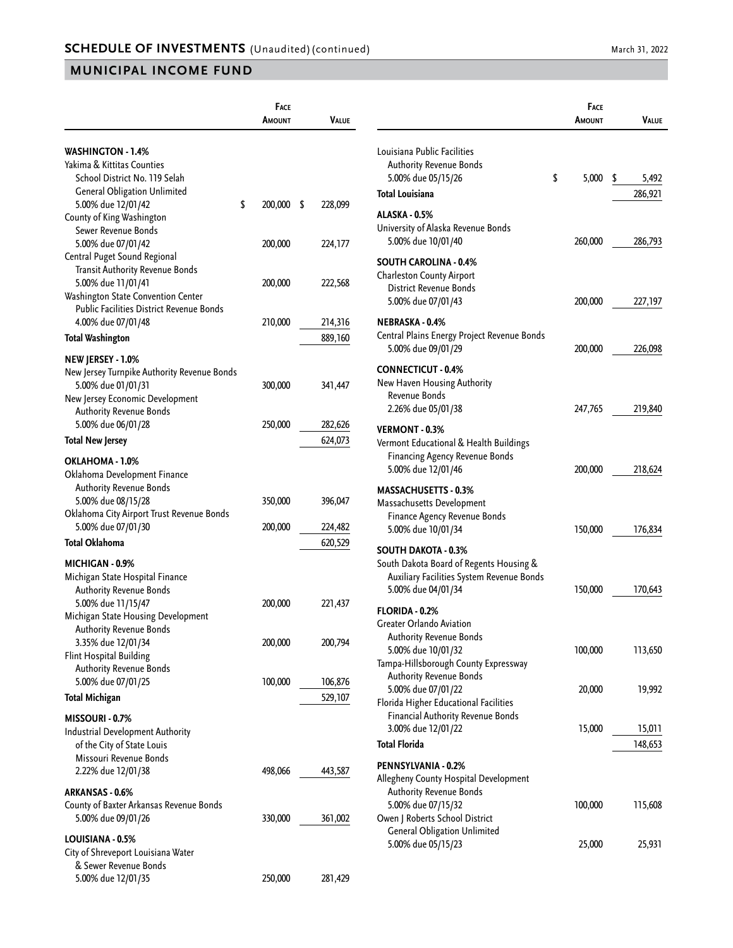|                                             | <b>FACE</b>   |               |  |
|---------------------------------------------|---------------|---------------|--|
|                                             | AMOUNT        | VALUE         |  |
| <b>WASHINGTON - 1.4%</b>                    |               |               |  |
| Yakima & Kittitas Counties                  |               |               |  |
| School District No. 119 Selah               |               |               |  |
| <b>General Obligation Unlimited</b>         |               |               |  |
| 5.00% due 12/01/42                          | \$<br>200,000 | \$<br>228,099 |  |
| County of King Washington                   |               |               |  |
| Sewer Revenue Bonds                         |               |               |  |
| 5.00% due 07/01/42                          | 200,000       | 224,177       |  |
| Central Puget Sound Regional                |               |               |  |
| Transit Authority Revenue Bonds             |               |               |  |
| 5.00% due 11/01/41                          | 200,000       | 222,568       |  |
| Washington State Convention Center          |               |               |  |
| Public Facilities District Revenue Bonds    |               |               |  |
| 4.00% due 07/01/48                          | 210,000       | 214,316       |  |
| <b>Total Washington</b>                     |               | 889,160       |  |
| NEW JERSEY - 1.0%                           |               |               |  |
| New Jersey Turnpike Authority Revenue Bonds |               |               |  |
| 5.00% due 01/01/31                          | 300,000       | 341,447       |  |
| New Jersey Economic Development             |               |               |  |
| Authority Revenue Bonds                     |               |               |  |
| 5.00% due 06/01/28                          | 250,000       | 282,626       |  |
| <b>Total New Jersey</b>                     |               | 624,073       |  |
| OKLAHOMA - 1.0%                             |               |               |  |
| Oklahoma Development Finance                |               |               |  |
| <b>Authority Revenue Bonds</b>              |               |               |  |
| 5.00% due 08/15/28                          | 350,000       | 396,047       |  |
| Oklahoma City Airport Trust Revenue Bonds   |               |               |  |
| 5.00% due 07/01/30                          | 200,000       | 224,482       |  |
| <b>Total Oklahoma</b>                       |               | 620,529       |  |
| MICHIGAN - 0.9%                             |               |               |  |
| Michigan State Hospital Finance             |               |               |  |
| Authority Revenue Bonds                     |               |               |  |
| 5.00% due 11/15/47                          | 200,000       | 221,437       |  |
| Michigan State Housing Development          |               |               |  |
| Authority Revenue Bonds                     |               |               |  |
| 3.35% due 12/01/34                          | 200,000       | 200,794       |  |
| Flint Hospital Building                     |               |               |  |
| <b>Authority Revenue Bonds</b>              |               |               |  |
| 5.00% due 07/01/25                          | 100,000       | 106,876       |  |
| <b>Total Michigan</b>                       |               | 529,107       |  |
| MISSOURI - 0.7%                             |               |               |  |
| <b>Industrial Development Authority</b>     |               |               |  |
| of the City of State Louis                  |               |               |  |
| Missouri Revenue Bonds                      |               |               |  |
| 2.22% due 12/01/38                          | 498,066       | 443,587       |  |
| ARKANSAS - 0.6%                             |               |               |  |
| County of Baxter Arkansas Revenue Bonds     |               |               |  |
| 5.00% due 09/01/26                          | 330,000       | 361,002       |  |
|                                             |               |               |  |
| LOUISIANA - 0.5%                            |               |               |  |
| City of Shreveport Louisiana Water          |               |               |  |
| & Sewer Revenue Bonds                       |               |               |  |
| 5.00% due 12/01/35                          | 250,000       | 281,429       |  |

|                                                                                                                                   | <b>FACE</b><br>AMOUNT | Value                  |
|-----------------------------------------------------------------------------------------------------------------------------------|-----------------------|------------------------|
| Louisiana Public Facilities<br><b>Authority Revenue Bonds</b><br>5.00% due 05/15/26<br><b>Total Louisiana</b>                     | \$<br>5,000           | \$<br>5,492<br>286,921 |
| ALASKA - 0.5%                                                                                                                     |                       |                        |
| University of Alaska Revenue Bonds<br>5.00% due 10/01/40                                                                          | 260,000               | 286,793                |
| <b>SOUTH CAROLINA - 0.4%</b><br><b>Charleston County Airport</b><br>District Revenue Bonds<br>5.00% due 07/01/43                  | 200,000               | 227,197                |
| NEBRASKA - 0.4%<br>Central Plains Energy Project Revenue Bonds<br>5.00% due 09/01/29                                              | 200,000               | 226,098                |
| <b>CONNECTICUT - 0.4%</b><br>New Haven Housing Authority<br>Revenue Bonds<br>2.26% due 05/01/38                                   | 247,765               | 219,840                |
| VERMONT - 0.3%<br>Vermont Educational & Health Buildings<br><b>Financing Agency Revenue Bonds</b><br>5.00% due 12/01/46           | 200,000               | 218,624                |
| <b>MASSACHUSETTS - 0.3%</b><br>Massachusetts Development<br>Finance Agency Revenue Bonds<br>5.00% due 10/01/34                    | 150,000               | 176,834                |
| SOUTH DAKOTA - 0.3%<br>South Dakota Board of Regents Housing &<br>Auxiliary Facilities System Revenue Bonds<br>5.00% due 04/01/34 | 150,000               | 170,643                |
| FLORIDA - 0.2%<br>Greater Orlando Aviation<br>Authority Revenue Bonds                                                             |                       |                        |
| 5.00% due 10/01/32<br>Tampa-Hillsborough County Expressway<br>Authority Revenue Bonds                                             | 100,000               | 113,650                |
| 5.00% due 07/01/22<br>Florida Higher Educational Facilities<br>Financial Authority Revenue Bonds                                  | 20,000                | 19,992                 |
| 3.00% due 12/01/22                                                                                                                | 15,000                | 15,011                 |
| <b>Total Florida</b>                                                                                                              |                       | 148,653                |
| PENNSYLVANIA - 0.2%<br>Allegheny County Hospital Development<br><b>Authority Revenue Bonds</b>                                    |                       |                        |
| 5.00% due 07/15/32<br>Owen J Roberts School District<br><b>General Obligation Unlimited</b>                                       | 100,000               | 115,608                |
| 5.00% due 05/15/23                                                                                                                | 25,000                | 25,931                 |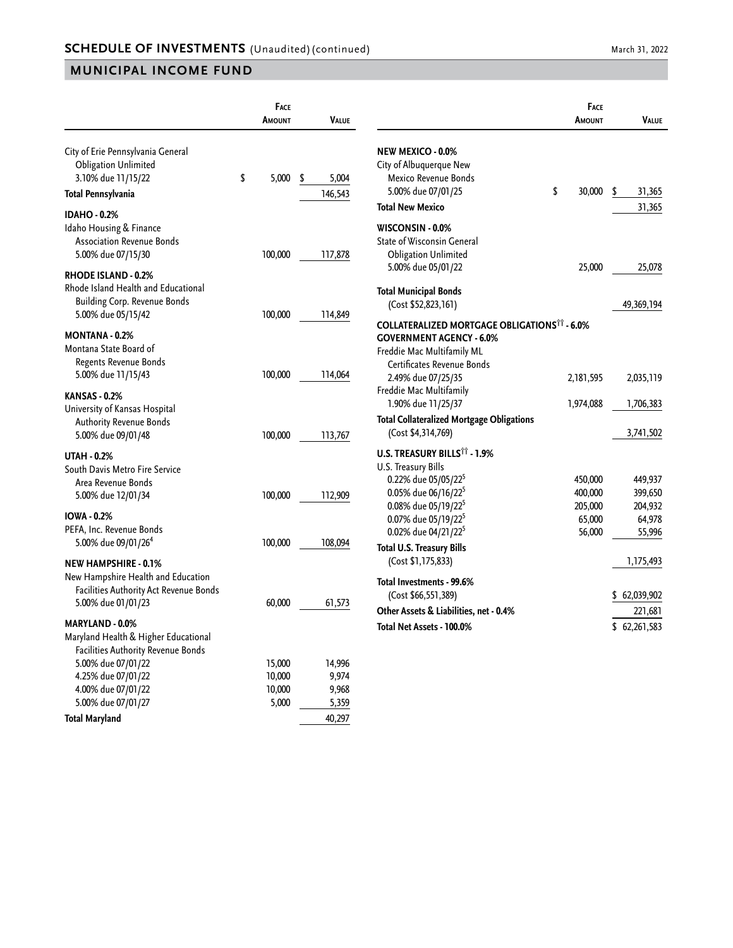|                                                                                                                                                                        | FACE<br>AMOUNT             | VALUE                    |                                                                                                                                           | FACE<br>AMOUNT              | <b>VALUE</b>                         |
|------------------------------------------------------------------------------------------------------------------------------------------------------------------------|----------------------------|--------------------------|-------------------------------------------------------------------------------------------------------------------------------------------|-----------------------------|--------------------------------------|
| City of Erie Pennsylvania General<br><b>Obligation Unlimited</b><br>3.10% due 11/15/22<br>Total Pennsylvania                                                           | \$<br>5,000                | \$<br>5,004<br>146,543   | NEW MEXICO - 0.0%<br>City of Albuquerque New<br>Mexico Revenue Bonds<br>5.00% due 07/01/25<br><b>Total New Mexico</b>                     | \$<br>30,000                | \$<br>31,365<br>31,365               |
| <b>IDAHO - 0.2%</b><br>Idaho Housing & Finance<br><b>Association Revenue Bonds</b><br>5.00% due 07/15/30                                                               | 100,000                    | 117,878                  | WISCONSIN - 0.0%<br><b>State of Wisconsin General</b><br><b>Obligation Unlimited</b><br>5.00% due 05/01/22                                | 25,000                      | 25,078                               |
| RHODE ISLAND - 0.2%<br>Rhode Island Health and Educational<br><b>Building Corp. Revenue Bonds</b><br>5.00% due 05/15/42                                                | 100,000                    | 114,849                  | <b>Total Municipal Bonds</b><br>(Cost \$52,823,161)<br><b>COLLATERALIZED MORTGAGE OBLIGATIONS<sup>11</sup> - 6.0%</b>                     |                             | 49,369,194                           |
| <b>MONTANA - 0.2%</b><br>Montana State Board of<br>Regents Revenue Bonds<br>5.00% due 11/15/43                                                                         | 100,000                    | 114,064                  | <b>GOVERNMENT AGENCY - 6.0%</b><br>Freddie Mac Multifamily ML<br>Certificates Revenue Bonds<br>2.49% due 07/25/35                         | 2,181,595                   | 2,035,119                            |
| <b>KANSAS - 0.2%</b><br>University of Kansas Hospital<br><b>Authority Revenue Bonds</b><br>5.00% due 09/01/48                                                          | 100,000                    | 113,767                  | Freddie Mac Multifamily<br>1.90% due 11/25/37<br><b>Total Collateralized Mortgage Obligations</b><br>(Cost \$4,314,769)                   | 1,974,088                   | 1,706,383<br>3,741,502               |
| <b>UTAH - 0.2%</b><br>South Davis Metro Fire Service<br>Area Revenue Bonds<br>5.00% due 12/01/34                                                                       | 100,000                    | 112,909                  | U.S. TREASURY BILLS <sup>11</sup> - 1.9%<br>U.S. Treasury Bills<br>0.22% due 05/05/22 <sup>5</sup><br>0.05% due 06/16/22 <sup>5</sup>     | 450,000<br>400,000          | 449,937<br>399,650                   |
| <b>IOWA - 0.2%</b><br>PEFA, Inc. Revenue Bonds<br>5.00% due 09/01/26 <sup>4</sup>                                                                                      | 100,000                    | 108,094                  | 0.08% due 05/19/22 <sup>5</sup><br>0.07% due 05/19/22 <sup>5</sup><br>0.02% due 04/21/22 <sup>5</sup><br><b>Total U.S. Treasury Bills</b> | 205,000<br>65,000<br>56,000 | 204,932<br>64,978<br>55,996          |
| <b>NEW HAMPSHIRE - 0.1%</b><br>New Hampshire Health and Education<br>Facilities Authority Act Revenue Bonds<br>5.00% due 01/01/23                                      | 60,000                     | 61,573                   | (Cost \$1,175,833)<br>Total Investments - 99.6%<br>(Cost \$66,551,389)<br>Other Assets & Liabilities, net - 0.4%                          |                             | 1,175,493<br>\$62,039,902<br>221,681 |
| <b>MARYLAND - 0.0%</b><br>Maryland Health & Higher Educational<br>Facilities Authority Revenue Bonds<br>5.00% due 07/01/22<br>4.25% due 07/01/22<br>4.00% due 07/01/22 | 15,000<br>10,000<br>10,000 | 14,996<br>9,974<br>9,968 | Total Net Assets - 100.0%                                                                                                                 |                             | \$62,261,583                         |
| 5.00% due 07/01/27<br><b>Total Maryland</b>                                                                                                                            | 5,000                      | 5,359<br>40,297          |                                                                                                                                           |                             |                                      |